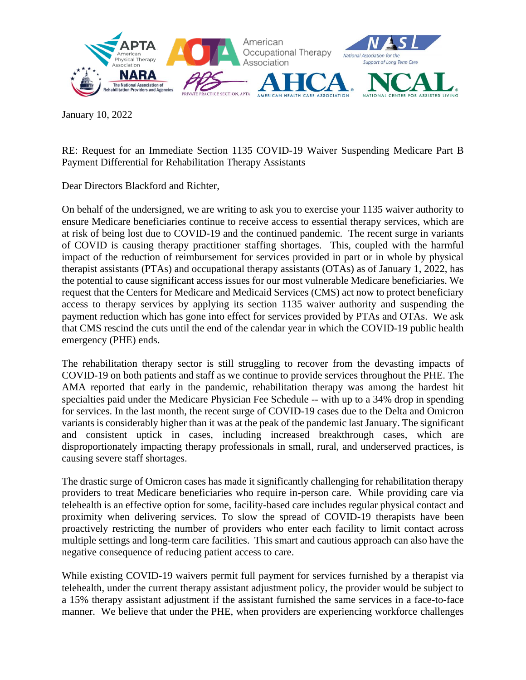

January 10, 2022

RE: Request for an Immediate Section 1135 COVID-19 Waiver Suspending Medicare Part B Payment Differential for Rehabilitation Therapy Assistants

Dear Directors Blackford and Richter,

On behalf of the undersigned, we are writing to ask you to exercise your 1135 waiver authority to ensure Medicare beneficiaries continue to receive access to essential therapy services, which are at risk of being lost due to COVID-19 and the continued pandemic. The recent surge in variants of COVID is causing therapy practitioner staffing shortages. This, coupled with the harmful impact of the reduction of reimbursement for services provided in part or in whole by physical therapist assistants (PTAs) and occupational therapy assistants (OTAs) as of January 1, 2022, has the potential to cause significant access issues for our most vulnerable Medicare beneficiaries. We request that the Centers for Medicare and Medicaid Services (CMS) act now to protect beneficiary access to therapy services by applying its section 1135 waiver authority and suspending the payment reduction which has gone into effect for services provided by PTAs and OTAs. We ask that CMS rescind the cuts until the end of the calendar year in which the COVID-19 public health emergency (PHE) ends.

The rehabilitation therapy sector is still struggling to recover from the devasting impacts of COVID-19 on both patients and staff as we continue to provide services throughout the PHE. The AMA reported that early in the pandemic, rehabilitation therapy was among the hardest hit specialties paid under the Medicare Physician Fee Schedule -- with up to a 34% drop in spending for services. In the last month, the recent surge of COVID-19 cases due to the Delta and Omicron variants is considerably higher than it was at the peak of the pandemic last January. The significant and consistent uptick in cases, including increased breakthrough cases, which are disproportionately impacting therapy professionals in small, rural, and underserved practices, is causing severe staff shortages.

The drastic surge of Omicron cases has made it significantly challenging for rehabilitation therapy providers to treat Medicare beneficiaries who require in-person care. While providing care via telehealth is an effective option for some, facility-based care includes regular physical contact and proximity when delivering services. To slow the spread of COVID-19 therapists have been proactively restricting the number of providers who enter each facility to limit contact across multiple settings and long-term care facilities. This smart and cautious approach can also have the negative consequence of reducing patient access to care.

While existing COVID-19 waivers permit full payment for services furnished by a therapist via telehealth, under the current therapy assistant adjustment policy, the provider would be subject to a 15% therapy assistant adjustment if the assistant furnished the same services in a face-to-face manner. We believe that under the PHE, when providers are experiencing workforce challenges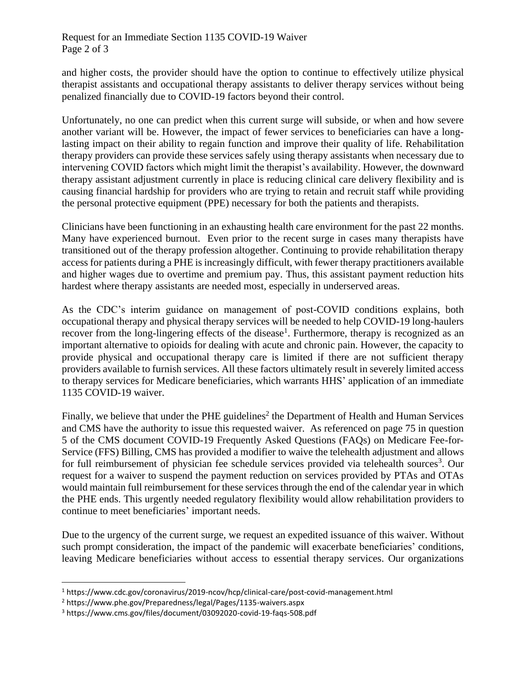## Request for an Immediate Section 1135 COVID-19 Waiver Page 2 of 3

and higher costs, the provider should have the option to continue to effectively utilize physical therapist assistants and occupational therapy assistants to deliver therapy services without being penalized financially due to COVID-19 factors beyond their control.

Unfortunately, no one can predict when this current surge will subside, or when and how severe another variant will be. However, the impact of fewer services to beneficiaries can have a longlasting impact on their ability to regain function and improve their quality of life. Rehabilitation therapy providers can provide these services safely using therapy assistants when necessary due to intervening COVID factors which might limit the therapist's availability. However, the downward therapy assistant adjustment currently in place is reducing clinical care delivery flexibility and is causing financial hardship for providers who are trying to retain and recruit staff while providing the personal protective equipment (PPE) necessary for both the patients and therapists.

Clinicians have been functioning in an exhausting health care environment for the past 22 months. Many have experienced burnout. Even prior to the recent surge in cases many therapists have transitioned out of the therapy profession altogether. Continuing to provide rehabilitation therapy access for patients during a PHE is increasingly difficult, with fewer therapy practitioners available and higher wages due to overtime and premium pay. Thus, this assistant payment reduction hits hardest where therapy assistants are needed most, especially in underserved areas.

As the CDC's interim guidance on management of post-COVID conditions explains, both occupational therapy and physical therapy services will be needed to help COVID-19 long-haulers recover from the long-lingering effects of the disease<sup>1</sup>. Furthermore, therapy is recognized as an important alternative to opioids for dealing with acute and chronic pain. However, the capacity to provide physical and occupational therapy care is limited if there are not sufficient therapy providers available to furnish services. All these factors ultimately result in severely limited access to therapy services for Medicare beneficiaries, which warrants HHS' application of an immediate 1135 COVID-19 waiver.

Finally, we believe that under the PHE guidelines<sup>2</sup> the Department of Health and Human Services and CMS have the authority to issue this requested waiver. As referenced on page 75 in question 5 of the CMS document COVID-19 Frequently Asked Questions (FAQs) on Medicare Fee-for-Service (FFS) Billing, CMS has provided a modifier to waive the telehealth adjustment and allows for full reimbursement of physician fee schedule services provided via telehealth sources<sup>3</sup>. Our request for a waiver to suspend the payment reduction on services provided by PTAs and OTAs would maintain full reimbursement for these services through the end of the calendar year in which the PHE ends. This urgently needed regulatory flexibility would allow rehabilitation providers to continue to meet beneficiaries' important needs.

Due to the urgency of the current surge, we request an expedited issuance of this waiver. Without such prompt consideration, the impact of the pandemic will exacerbate beneficiaries' conditions, leaving Medicare beneficiaries without access to essential therapy services. Our organizations

<sup>1</sup> https://www.cdc.gov/coronavirus/2019-ncov/hcp/clinical-care/post-covid-management.html

<sup>2</sup> https://www.phe.gov/Preparedness/legal/Pages/1135-waivers.aspx

<sup>3</sup> https://www.cms.gov/files/document/03092020-covid-19-faqs-508.pdf